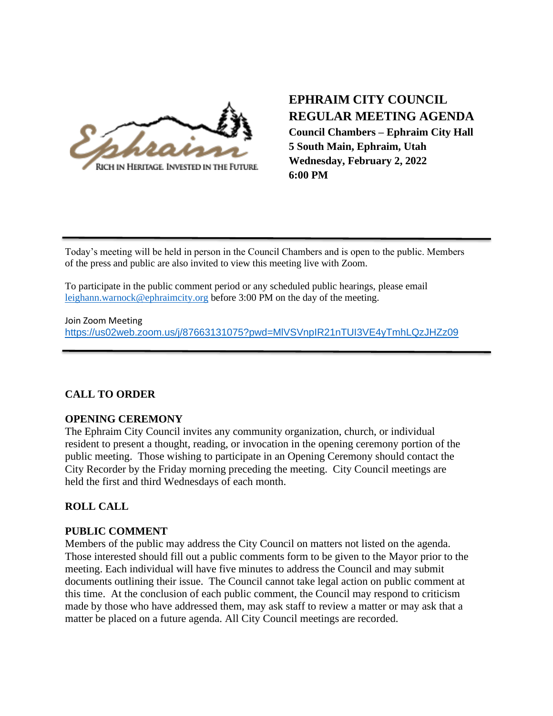

# **EPHRAIM CITY COUNCIL REGULAR MEETING AGENDA Council Chambers – Ephraim City Hall 5 South Main, Ephraim, Utah**

**Wednesday, February 2, 2022 6:00 PM**

Today's meeting will be held in person in the Council Chambers and is open to the public. Members of the press and public are also invited to view this meeting live with Zoom.

To participate in the public comment period or any scheduled public hearings, please email [leighann.warnock@ephraimcity.org](mailto:leighann.warnock@ephraimcity.org) before 3:00 PM on the day of the meeting.

Join Zoom Meeting <https://us02web.zoom.us/j/87663131075?pwd=MlVSVnpIR21nTUI3VE4yTmhLQzJHZz09>

# **CALL TO ORDER**

# **OPENING CEREMONY**

The Ephraim City Council invites any community organization, church, or individual resident to present a thought, reading, or invocation in the opening ceremony portion of the public meeting. Those wishing to participate in an Opening Ceremony should contact the City Recorder by the Friday morning preceding the meeting. City Council meetings are held the first and third Wednesdays of each month.

# **ROLL CALL**

# **PUBLIC COMMENT**

Members of the public may address the City Council on matters not listed on the agenda. Those interested should fill out a public comments form to be given to the Mayor prior to the meeting. Each individual will have five minutes to address the Council and may submit documents outlining their issue. The Council cannot take legal action on public comment at this time. At the conclusion of each public comment, the Council may respond to criticism made by those who have addressed them, may ask staff to review a matter or may ask that a matter be placed on a future agenda. All City Council meetings are recorded.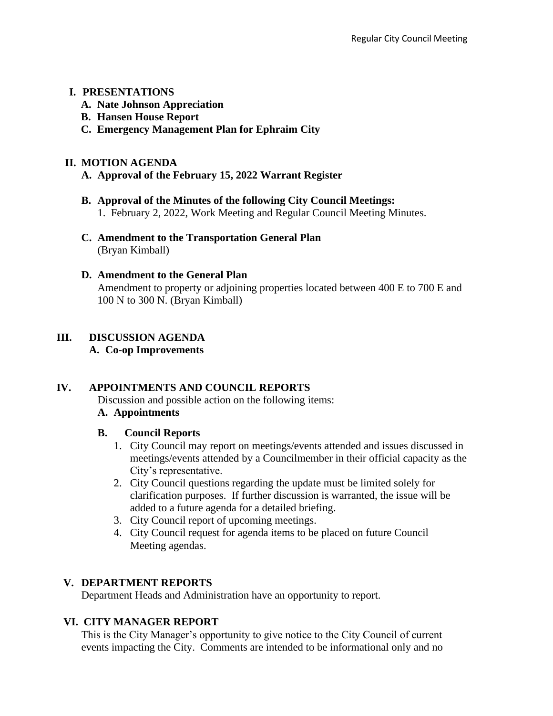## **I. PRESENTATIONS**

- **A. Nate Johnson Appreciation**
- **B. Hansen House Report**
- **C. Emergency Management Plan for Ephraim City**

## **II. MOTION AGENDA**

- **A. Approval of the February 15, 2022 Warrant Register**
- **B. Approval of the Minutes of the following City Council Meetings:** 1. February 2, 2022, Work Meeting and Regular Council Meeting Minutes.
- **C. Amendment to the Transportation General Plan** (Bryan Kimball)

## **D. Amendment to the General Plan**

Amendment to property or adjoining properties located between 400 E to 700 E and 100 N to 300 N. (Bryan Kimball)

# **III. DISCUSSION AGENDA**

### **A. Co-op Improvements**

# **IV. APPOINTMENTS AND COUNCIL REPORTS**

Discussion and possible action on the following items:

# **A. Appointments**

# **B. Council Reports**

- 1. City Council may report on meetings/events attended and issues discussed in meetings/events attended by a Councilmember in their official capacity as the City's representative.
- 2. City Council questions regarding the update must be limited solely for clarification purposes. If further discussion is warranted, the issue will be added to a future agenda for a detailed briefing.
- 3. City Council report of upcoming meetings.
- 4. City Council request for agenda items to be placed on future Council Meeting agendas.

# **V. DEPARTMENT REPORTS**

Department Heads and Administration have an opportunity to report.

# **VI. CITY MANAGER REPORT**

This is the City Manager's opportunity to give notice to the City Council of current events impacting the City. Comments are intended to be informational only and no